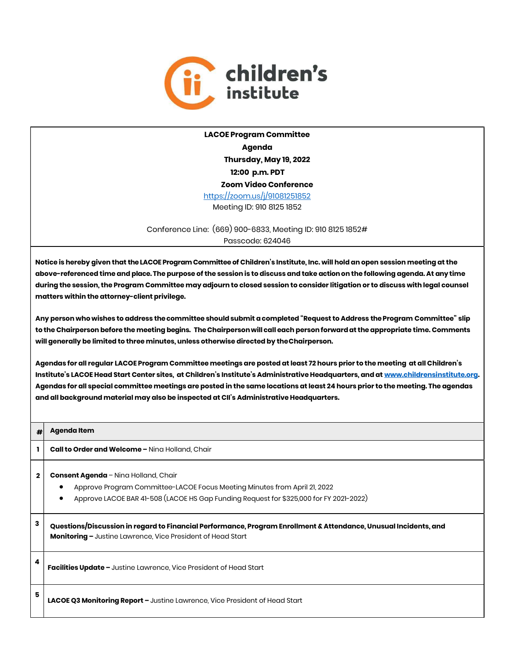

LACOE Program Committee Agenda Thursday, May 19, 2022 12:00 p.m. PDT Zoom Video Conference https://zoom.us/j/91081251852 Meeting ID: 910 8125 1852

Conference Line: (669) 900-6833, Meeting ID: 910 8125 1852# Passcode: 624046

Notice is hereby given that the LACOE Program Committee of Children's Institute, Inc. will hold an open session meeting at the above-referenced time and place. The purpose of the session is to discuss and take action on the following agenda. At any time during the session, the Program Committee may adjourn to closed session to consider litigation or to discuss with legal counsel matters within the attorney-client privilege.

Any person who wishes to address the committee should submit a completed "Request to Address the Program Committee" slip to the Chairperson before the meeting begins. The Chairperson will call each person forward at the appropriate time. Comments will generally be limited to three minutes, unless otherwise directed by the Chairperson.

Agendas for all regular LACOE Program Committee meetings are posted at least 72 hours prior to the meeting at all Children's Institute's LACOE Head Start Center sites, at Children's Institute's Administrative Headquarters, and at www.childrensinstitute.org. Agendas for all special committee meetings are posted in the same locations at least 24 hours prior to the meeting. The agendas and all background material may also be inspected at CII's Administrative Headquarters.

| #l           | Agenda Item                                                                                                                                                                                                 |
|--------------|-------------------------------------------------------------------------------------------------------------------------------------------------------------------------------------------------------------|
| ı            | <b>Call to Order and Welcome - Ning Holland, Chair</b>                                                                                                                                                      |
| $\mathbf{2}$ | Consent Agenda - Nina Holland, Chair<br>Approve Program Committee-LACOE Focus Meeting Minutes from April 21, 2022<br>Approve LACOE BAR 41-508 (LACOE HS Gap Funding Request for \$325,000 for FY 2021-2022) |
| 3            | Questions/Discussion in regard to Financial Performance, Program Enrollment & Attendance, Unusual Incidents, and<br><b>Monitoring - Justine Lawrence, Vice President of Head Start</b>                      |
| 4            | <b>Facilities Update - Justine Lawrence, Vice President of Head Start</b>                                                                                                                                   |
| 5            | LACOE Q3 Monitoring Report - Justine Lawrence, Vice President of Head Start                                                                                                                                 |